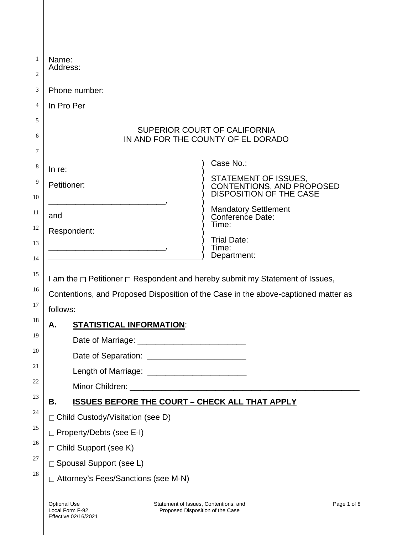| Name:<br>Address:                      |                                                                           |                                                                                                                                                                    |
|----------------------------------------|---------------------------------------------------------------------------|--------------------------------------------------------------------------------------------------------------------------------------------------------------------|
| Phone number:                          |                                                                           |                                                                                                                                                                    |
| In Pro Per                             |                                                                           |                                                                                                                                                                    |
|                                        |                                                                           |                                                                                                                                                                    |
|                                        |                                                                           | SUPERIOR COURT OF CALIFORNIA<br>IN AND FOR THE COUNTY OF EL DORADO                                                                                                 |
| In re:                                 |                                                                           | Case No.:                                                                                                                                                          |
| Petitioner:                            |                                                                           | STATEMENT OF ISSUES,<br>CONTENTIONS, AND PROPOSED<br>DISPOSITION OF THE CASE                                                                                       |
| and                                    |                                                                           | <b>Mandatory Settlement</b><br>Conference Date:<br>Time:                                                                                                           |
| Respondent:                            |                                                                           | <b>Trial Date:</b>                                                                                                                                                 |
|                                        |                                                                           | Time:<br>Department:                                                                                                                                               |
| follows:                               | <u>STATISTICAL INFORMATION:</u>                                           | I am the □ Petitioner □ Respondent and hereby submit my Statement of Issues,<br>Contentions, and Proposed Disposition of the Case in the above-captioned matter as |
|                                        |                                                                           |                                                                                                                                                                    |
|                                        |                                                                           |                                                                                                                                                                    |
|                                        |                                                                           |                                                                                                                                                                    |
|                                        |                                                                           |                                                                                                                                                                    |
| В.                                     |                                                                           | <b>ISSUES BEFORE THE COURT - CHECK ALL THAT APPLY</b>                                                                                                              |
| □ Child Custody/Visitation (see D)     |                                                                           |                                                                                                                                                                    |
| □ Property/Debts (see E-I)             |                                                                           |                                                                                                                                                                    |
| □ Child Support (see K)                |                                                                           |                                                                                                                                                                    |
| □ Spousal Support (see L)              |                                                                           |                                                                                                                                                                    |
| □ Attorney's Fees/Sanctions (see M-N)  |                                                                           |                                                                                                                                                                    |
| <b>Optional Use</b><br>Local Form F-92 | Statement of Issues, Contentions, and<br>Proposed Disposition of the Case | Page 1 of 8                                                                                                                                                        |

 $\parallel$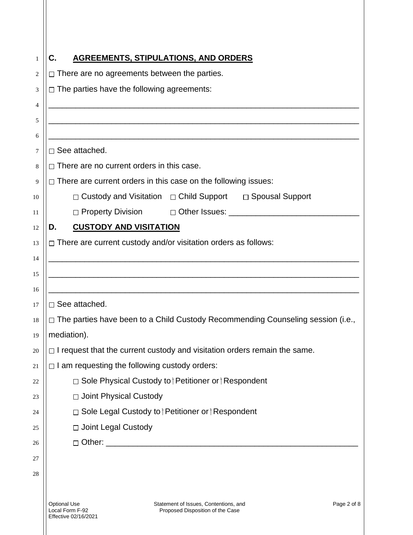| 1  | <b>AGREEMENTS, STIPULATIONS, AND ORDERS</b><br>С.                                                                                          |  |
|----|--------------------------------------------------------------------------------------------------------------------------------------------|--|
| 2  | $\Box$ There are no agreements between the parties.                                                                                        |  |
| 3  | $\Box$ The parties have the following agreements:                                                                                          |  |
| 4  |                                                                                                                                            |  |
| 5  |                                                                                                                                            |  |
| 6  | <u> 1989 - Johann John Stone, mars et al. 1989 - John Stone, mars et al. 1989 - John Stone, mars et al. 1989 - Joh</u>                     |  |
| 7  | $\square$ See attached.                                                                                                                    |  |
| 8  | $\Box$ There are no current orders in this case.                                                                                           |  |
| 9  | $\Box$ There are current orders in this case on the following issues:                                                                      |  |
| 10 | □ Custody and Visitation □ Child Support □ Spousal Support                                                                                 |  |
| 11 | D Other Issues: Department of the United States of the United States of the United States of the United States<br>$\Box$ Property Division |  |
| 12 | <b>CUSTODY AND VISITATION</b><br>D.                                                                                                        |  |
| 13 | $\Box$ There are current custody and/or visitation orders as follows:                                                                      |  |
| 14 |                                                                                                                                            |  |
| 15 |                                                                                                                                            |  |
| 16 |                                                                                                                                            |  |
| 17 | $\Box$ See attached.                                                                                                                       |  |
| 18 | □ The parties have been to a Child Custody Recommending Counseling session (i.e.,                                                          |  |
| 19 | mediation).                                                                                                                                |  |
| 20 | $\Box$ I request that the current custody and visitation orders remain the same.                                                           |  |
| 21 | $\Box$ I am requesting the following custody orders:                                                                                       |  |
| 22 | □ Sole Physical Custody to   Petitioner or   Respondent                                                                                    |  |
| 23 | □ Joint Physical Custody                                                                                                                   |  |
| 24 | □ Sole Legal Custody to † Petitioner or † Respondent                                                                                       |  |
| 25 | □ Joint Legal Custody                                                                                                                      |  |
| 26 | □ Other: _________________________________                                                                                                 |  |
| 27 |                                                                                                                                            |  |
| 28 |                                                                                                                                            |  |
|    |                                                                                                                                            |  |
|    | <b>Optional Use</b><br>Statement of Issues, Contentions, and<br>Page 2 of 8<br>Local Form F-92<br>Proposed Disposition of the Case         |  |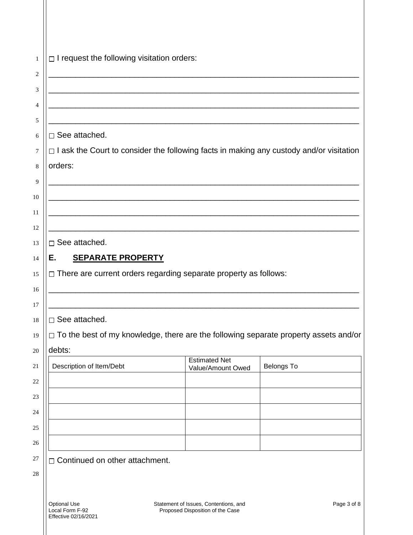|                                                                                                                       | <u> 1989 - Johann Stein, marwolaethau a bhann an t-Amhair an t-Amhair an t-Amhair an t-Amhair an t-Amhair an t-A</u>  |                   |  |
|-----------------------------------------------------------------------------------------------------------------------|-----------------------------------------------------------------------------------------------------------------------|-------------------|--|
|                                                                                                                       |                                                                                                                       |                   |  |
|                                                                                                                       |                                                                                                                       |                   |  |
| $\square$ See attached.                                                                                               |                                                                                                                       |                   |  |
| $\Box$ I ask the Court to consider the following facts in making any custody and/or visitation                        |                                                                                                                       |                   |  |
| orders:                                                                                                               |                                                                                                                       |                   |  |
|                                                                                                                       | <u> 1989 - Johann Barbara, martxa alemaniar arg</u>                                                                   |                   |  |
|                                                                                                                       |                                                                                                                       |                   |  |
|                                                                                                                       | <u> 1989 - Johann Barn, amerikan berkema dalam berkema dalam berkema dalam berkema dalam berkema dalam berkema da</u> |                   |  |
|                                                                                                                       |                                                                                                                       |                   |  |
| $\Box$ See attached.                                                                                                  |                                                                                                                       |                   |  |
| <b>SEPARATE PROPERTY</b><br>Е.                                                                                        |                                                                                                                       |                   |  |
| $\Box$ There are current orders regarding separate property as follows:                                               |                                                                                                                       |                   |  |
| <u> 1989 - Johann Barbara, martin da basar da basar da basar da basar da basar da basar da basar da basar da basa</u> |                                                                                                                       |                   |  |
|                                                                                                                       |                                                                                                                       |                   |  |
| $\square$ See attached.                                                                                               |                                                                                                                       |                   |  |
| $\Box$ To the best of my knowledge, there are the following separate property assets and/or                           |                                                                                                                       |                   |  |
| debts:                                                                                                                | <b>Estimated Net</b>                                                                                                  |                   |  |
| Description of Item/Debt                                                                                              | Value/Amount Owed                                                                                                     | <b>Belongs To</b> |  |
|                                                                                                                       |                                                                                                                       |                   |  |
|                                                                                                                       |                                                                                                                       |                   |  |
|                                                                                                                       |                                                                                                                       |                   |  |
|                                                                                                                       |                                                                                                                       |                   |  |
|                                                                                                                       |                                                                                                                       |                   |  |
|                                                                                                                       |                                                                                                                       |                   |  |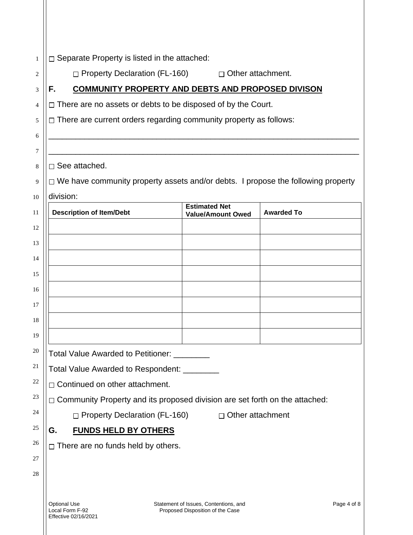| $\Box$ Separate Property is listed in the attached:                                   |                                                                                         |                   |
|---------------------------------------------------------------------------------------|-----------------------------------------------------------------------------------------|-------------------|
|                                                                                       | $\Box$ Property Declaration (FL-160)<br>$\Box$ Other attachment.                        |                   |
| F.                                                                                    | COMMUNITY PROPERTY AND DEBTS AND PROPOSED DIVISON                                       |                   |
|                                                                                       | $\Box$ There are no assets or debts to be disposed of by the Court.                     |                   |
|                                                                                       | $\Box$ There are current orders regarding community property as follows:                |                   |
|                                                                                       |                                                                                         |                   |
|                                                                                       |                                                                                         |                   |
| $\Box$ See attached.                                                                  |                                                                                         |                   |
|                                                                                       | $\Box$ We have community property assets and/or debts. I propose the following property |                   |
| division:                                                                             |                                                                                         |                   |
| <b>Description of Item/Debt</b>                                                       | <b>Estimated Net</b><br><b>Value/Amount Owed</b>                                        | <b>Awarded To</b> |
|                                                                                       |                                                                                         |                   |
|                                                                                       |                                                                                         |                   |
|                                                                                       |                                                                                         |                   |
|                                                                                       |                                                                                         |                   |
|                                                                                       |                                                                                         |                   |
|                                                                                       |                                                                                         |                   |
|                                                                                       |                                                                                         |                   |
|                                                                                       |                                                                                         |                   |
|                                                                                       | Total Value Awarded to Petitioner: _________                                            |                   |
|                                                                                       |                                                                                         |                   |
| Total Value Awarded to Respondent: _________<br>$\Box$ Continued on other attachment. |                                                                                         |                   |
| $\Box$ Community Property and its proposed division are set forth on the attached:    |                                                                                         |                   |
| □ Property Declaration (FL-160)<br>$\Box$ Other attachment                            |                                                                                         |                   |
| <b>FUNDS HELD BY OTHERS</b><br>G.                                                     |                                                                                         |                   |
| $\Box$ There are no funds held by others.                                             |                                                                                         |                   |
|                                                                                       |                                                                                         |                   |
|                                                                                       |                                                                                         |                   |
|                                                                                       |                                                                                         |                   |
| <b>Optional Use</b><br>Local Form F-92                                                | Statement of Issues, Contentions, and<br>Proposed Disposition of the Case               | Page 4 of 8       |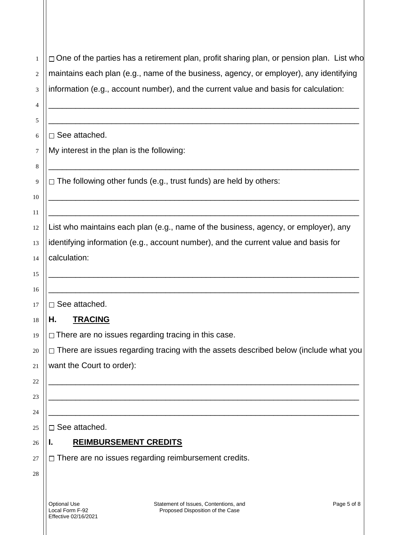| 1  | $\Box$ One of the parties has a retirement plan, profit sharing plan, or pension plan. List who |
|----|-------------------------------------------------------------------------------------------------|
| 2  | maintains each plan (e.g., name of the business, agency, or employer), any identifying          |
| 3  | information (e.g., account number), and the current value and basis for calculation:            |
| 4  |                                                                                                 |
| 5  |                                                                                                 |
| 6  | □ See attached.                                                                                 |
| 7  | My interest in the plan is the following:                                                       |
| 8  |                                                                                                 |
| 9  | $\Box$ The following other funds (e.g., trust funds) are held by others:                        |
| 10 |                                                                                                 |
| 11 |                                                                                                 |
| 12 | List who maintains each plan (e.g., name of the business, agency, or employer), any             |
| 13 | identifying information (e.g., account number), and the current value and basis for             |
| 14 | calculation:                                                                                    |
| 15 |                                                                                                 |
| 16 |                                                                                                 |
| 17 | $\square$ See attached.                                                                         |
| 18 | <b>TRACING</b><br>Н.                                                                            |
| 19 | $\Box$ There are no issues regarding tracing in this case.                                      |
| 20 | $\Box$ There are issues regarding tracing with the assets described below (include what you     |
| 21 | want the Court to order):                                                                       |
| 22 |                                                                                                 |
| 23 |                                                                                                 |
| 24 |                                                                                                 |
| 25 | $\Box$ See attached.                                                                            |
| 26 | <b>REIMBURSEMENT CREDITS</b><br>ı.                                                              |
| 27 | $\Box$ There are no issues regarding reimbursement credits.                                     |
| 28 |                                                                                                 |
|    |                                                                                                 |
|    |                                                                                                 |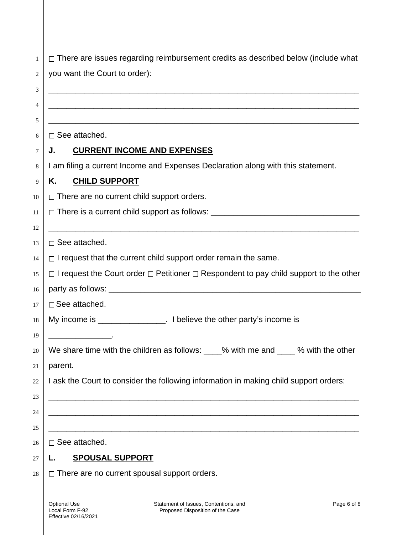| $\mathbf{1}$ | $\Box$ There are issues regarding reimbursement credits as described below (include what                              |  |  |
|--------------|-----------------------------------------------------------------------------------------------------------------------|--|--|
| 2            | you want the Court to order):                                                                                         |  |  |
| 3            | <u> 1989 - Johann John Stone, market fan de Fryske kunstne fan de fan de fan de fan de fan de fan de fan de fan d</u> |  |  |
| 4            |                                                                                                                       |  |  |
| 5            |                                                                                                                       |  |  |
| 6            | $\Box$ See attached.                                                                                                  |  |  |
| 7            | <b>CURRENT INCOME AND EXPENSES</b><br>J.                                                                              |  |  |
| 8            | I am filing a current Income and Expenses Declaration along with this statement.                                      |  |  |
| 9            | <b>CHILD SUPPORT</b><br>Κ.                                                                                            |  |  |
| 10           | $\Box$ There are no current child support orders.                                                                     |  |  |
| 11           | □ There is a current child support as follows: _________________________________                                      |  |  |
| 12           |                                                                                                                       |  |  |
| 13           | $\square$ See attached.                                                                                               |  |  |
| 14           | $\Box$ I request that the current child support order remain the same.                                                |  |  |
| 15           | $\Box$ I request the Court order $\Box$ Petitioner $\Box$ Respondent to pay child support to the other                |  |  |
| 16           |                                                                                                                       |  |  |
| 17           | $\square$ See attached.                                                                                               |  |  |
| 18           | My income is __________________. I believe the other party's income is                                                |  |  |
| 19           |                                                                                                                       |  |  |
| 20           | We share time with the children as follows: ____% with me and ____ % with the other                                   |  |  |
| 21           | parent.<br>I ask the Court to consider the following information in making child support orders:                      |  |  |
| 22           |                                                                                                                       |  |  |
| 23<br>24     |                                                                                                                       |  |  |
| 25           |                                                                                                                       |  |  |
| 26           | $\square$ See attached.                                                                                               |  |  |
| 27           | <b>SPOUSAL SUPPORT</b>                                                                                                |  |  |
| 28           | $\Box$ There are no current spousal support orders.                                                                   |  |  |
|              |                                                                                                                       |  |  |
|              | <b>Optional Use</b><br>Statement of Issues, Contentions, and<br>Page 6 of 8                                           |  |  |

Proposed Disposition of the Case

Local Form F-92 Effective 02/16/2021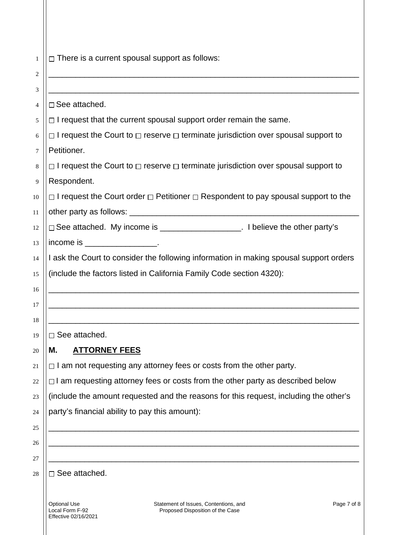| 1  | $\Box$ There is a current spousal support as follows:                                                                              |
|----|------------------------------------------------------------------------------------------------------------------------------------|
| 2  |                                                                                                                                    |
| 3  |                                                                                                                                    |
| 4  | $\square$ See attached.                                                                                                            |
| 5  | $\Box$ I request that the current spousal support order remain the same.                                                           |
| 6  | $\Box$ I request the Court to $\Box$ reserve $\Box$ terminate jurisdiction over spousal support to                                 |
| 7  | Petitioner.                                                                                                                        |
| 8  | $\Box$ I request the Court to $\Box$ reserve $\Box$ terminate jurisdiction over spousal support to                                 |
| 9  | Respondent.                                                                                                                        |
| 10 | $\Box$ I request the Court order $\Box$ Petitioner $\Box$ Respondent to pay spousal support to the                                 |
| 11 |                                                                                                                                    |
| 12 | □ See attached. My income is _____________________. I believe the other party's                                                    |
| 13 | income is $\frac{1}{2}$ income is $\frac{1}{2}$ .                                                                                  |
| 14 | I ask the Court to consider the following information in making spousal support orders                                             |
| 15 | (include the factors listed in California Family Code section 4320):                                                               |
| 16 |                                                                                                                                    |
| 17 |                                                                                                                                    |
| 18 |                                                                                                                                    |
| 19 | $\Box$ See attached.                                                                                                               |
| 20 | <b>ATTORNEY FEES</b><br>M.                                                                                                         |
| 21 | $\Box$ I am not requesting any attorney fees or costs from the other party.                                                        |
| 22 | $\Box$ I am requesting attorney fees or costs from the other party as described below                                              |
| 23 | (include the amount requested and the reasons for this request, including the other's                                              |
| 24 | party's financial ability to pay this amount):                                                                                     |
| 25 |                                                                                                                                    |
| 26 |                                                                                                                                    |
| 27 |                                                                                                                                    |
| 28 | $\Box$ See attached.                                                                                                               |
|    | <b>Optional Use</b><br>Statement of Issues, Contentions, and<br>Page 7 of 8<br>Local Form F-92<br>Proposed Disposition of the Case |